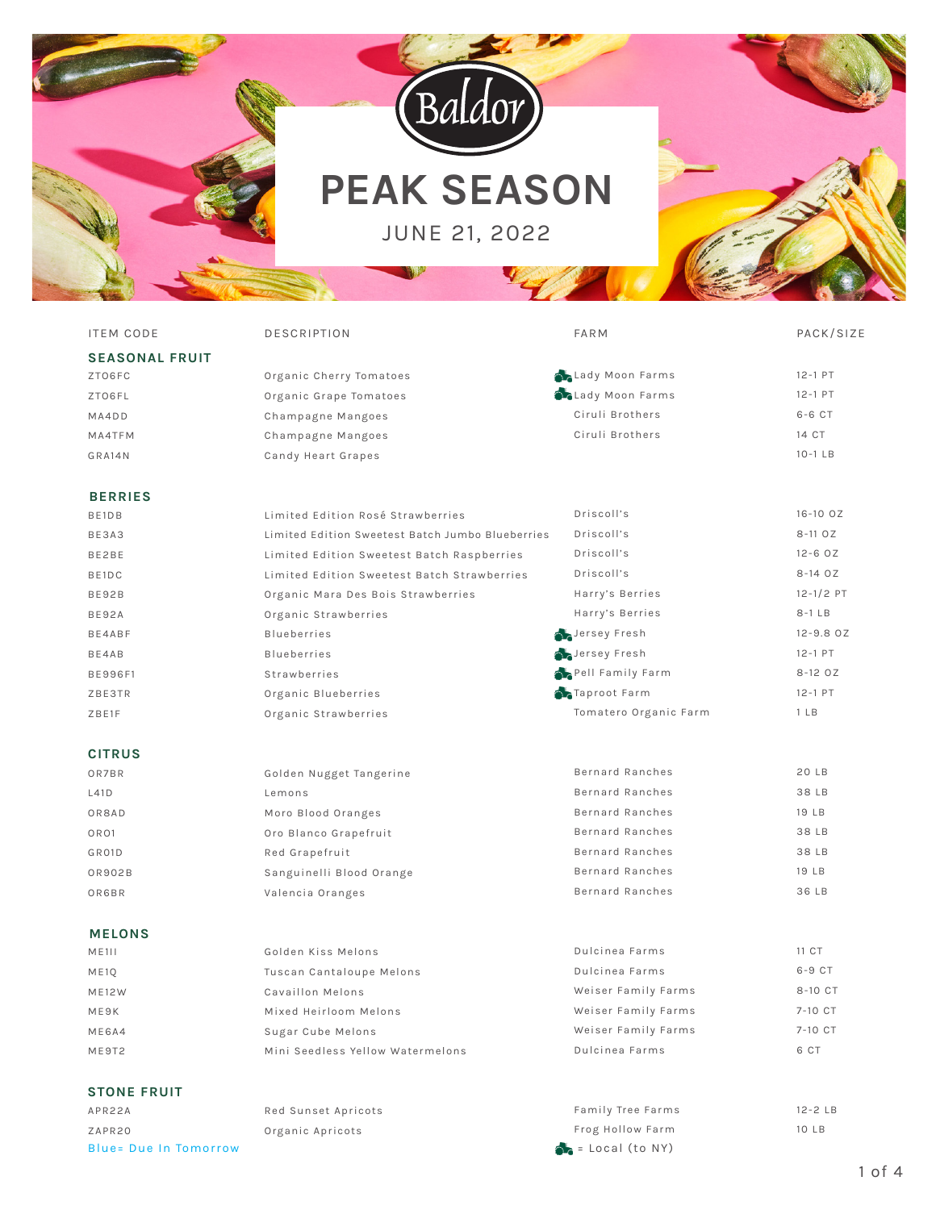

# **PEAK SEASON**

JUNE 21, 2022



| <b>ITEM CODE</b>      | <b>DESCRIPTION</b>                               | <b>FARM</b>              | PACK/SIZE                     |
|-----------------------|--------------------------------------------------|--------------------------|-------------------------------|
| <b>SEASONAL FRUIT</b> |                                                  |                          |                               |
| ZTO6FC                | Organic Cherry Tomatoes                          | Lady Moon Farms          | 12-1 PT                       |
| ZTO6FL                | Organic Grape Tomatoes                           | <b>C</b> Lady Moon Farms | $12 - 1$ PT                   |
| MA4DD                 | Champagne Mangoes                                | Ciruli Brothers          | $6 - 6$ $CT$                  |
| MA4TFM                | Champagne Mangoes                                | Ciruli Brothers          | 14 CT                         |
| GRA14N                | Candy Heart Grapes                               |                          | $10-1$ LB                     |
| <b>BERRIES</b>        |                                                  |                          |                               |
| BE1DB                 | Limited Edition Rosé Strawberries                | Driscoll's               | $16 - 100Z$                   |
| BE3A3                 | Limited Edition Sweetest Batch Jumbo Blueberries | Driscoll's               | $8 - 110Z$                    |
| BE2BE                 | Limited Edition Sweetest Batch Raspberries       | Driscoll's               | $12 - 60Z$                    |
| BE1DC                 | Limited Edition Sweetest Batch Strawberries      | Driscoll's               | $8 - 140Z$                    |
| <b>BE92B</b>          | Organic Mara Des Bois Strawberries               | Harry's Berries          | $12 - 1/2$ PT                 |
| BE92A                 | Organic Strawberries                             | Harry's Berries          | $8-1$ LB                      |
| BE4ABF                | <b>Blueberries</b>                               | Jersey Fresh             | $12 - 9.8$ OZ                 |
| BE4AB                 | <b>Blueberries</b>                               | Jersey Fresh             | $12 - 1$ PT                   |
| <b>BE996F1</b>        | Strawberries                                     | Pell Family Farm         | $8 - 120Z$                    |
| ZBE3TR                | Organic Blueberries                              | Taproot Farm             | $12 - 1$ PT                   |
| ZBE1F                 | Organic Strawberries                             | Tomatero Organic Farm    | 1 <sub>LB</sub>               |
| <b>CITRUS</b>         |                                                  |                          |                               |
| OR7BR                 | Golden Nugget Tangerine                          | Bernard Ranches          | 20 LB                         |
| L41D                  | Lemons                                           | Bernard Ranches          | 38 LB                         |
| OR8AD                 | Moro Blood Oranges                               | Bernard Ranches          | $19$ $\overline{\phantom{0}}$ |
| OR <sub>O1</sub>      | Oro Blanco Grapefruit                            | <b>Bernard Ranches</b>   | 38 LB                         |
| GR01D                 | Red Grapefruit                                   | Bernard Ranches          | 38 LB                         |
| OR902B                | Sanguinelli Blood Orange                         | Bernard Ranches          | 19 LB                         |
| OR6BR                 | Valencia Oranges                                 | Bernard Ranches          | 36 LB                         |
| <b>MELONS</b>         |                                                  |                          |                               |
| M E111                | Golden Kiss Melons                               | Dulcinea Farms           | 11 CT                         |
| <b>ME10</b>           | Tuscan Cantaloupe Melons                         | Dulcinea Farms           | $6-9$ CT                      |
| <b>ME12W</b>          | Cavaillon Melons                                 | Weiser Family Farms      | 8-10 CT                       |
| ME9K                  | Mixed Heirloom Melons                            | Weiser Family Farms      | 7-10 CT                       |
| ME6A4                 | Sugar Cube Melons                                | Weiser Family Farms      | 7-10 CT                       |
| ME9T2                 | Mini Seedless Yellow Watermelons                 | Dulcinea Farms           | 6 CT                          |

# **STONE FRUIT**

APR22A ZAPR20 Blue= Due In Tomorrow example of the state of the Second Second (to NY)

# Red Sunset Apricots Organic Apricots

12-2 LB 10 LB Family Tree Farms Frog Hollow Farm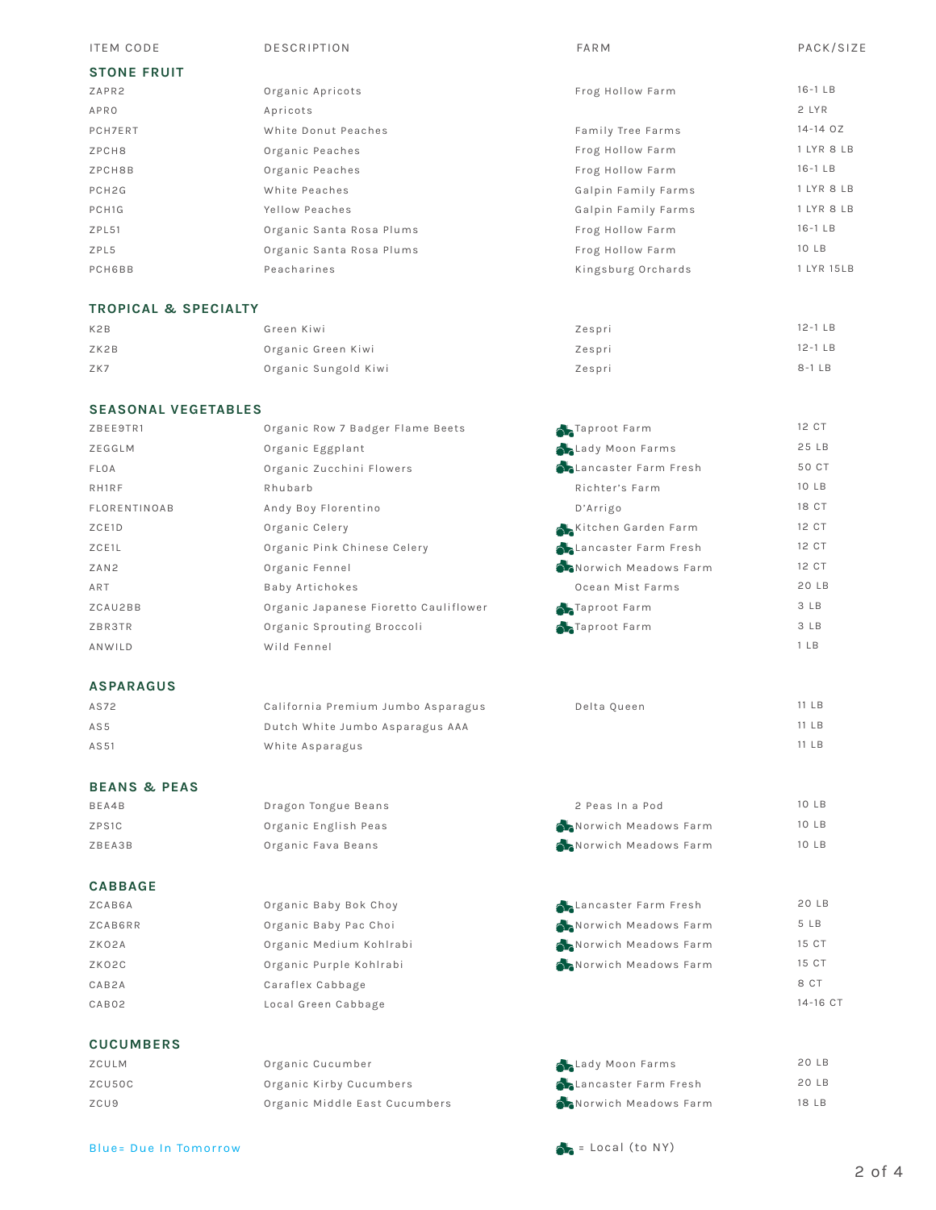| <b>ITEM CODE</b>   | <b>DESCRIPTION</b>       | FARM                | PACK/SIZE   |
|--------------------|--------------------------|---------------------|-------------|
| <b>STONE FRUIT</b> |                          |                     |             |
| ZAPR2              | Organic Apricots         | Frog Hollow Farm    | $16-1$ LB   |
| APRO               | Apricots                 |                     | 2 LYR       |
| PCH7ERT            | White Donut Peaches      | Family Tree Farms   | $14 - 140Z$ |
| ZPCH8              | Organic Peaches          | Frog Hollow Farm    | 1 LYR 8 LB  |
| ZPCH8B             | Organic Peaches          | Frog Hollow Farm    | $16-1$ LB   |
| PCH <sub>2G</sub>  | White Peaches            | Galpin Family Farms | 1 LYR 8 LB  |
| PCH1G              | Yellow Peaches           | Galpin Family Farms | 1 LYR 8 LB  |
| ZPL51              | Organic Santa Rosa Plums | Frog Hollow Farm    | $16-1$ LB   |
| ZPL5               | Organic Santa Rosa Plums | Frog Hollow Farm    | 10 LB       |
| <b>PCH6BB</b>      | Peacharines              | Kingsburg Orchards  | 1 LYR 15LB  |
|                    |                          |                     |             |

# **TROPICAL & SPECIALTY**

| K <sub>2</sub> B | Green Kiwi           | Zespri | $12-1$ LB |
|------------------|----------------------|--------|-----------|
| ZK2B             | Organic Green Kiwi   | Zespri | $12-1$ LB |
| ZK7              | Organic Sungold Kiwi | Zespri | $8-1LB$   |

## **SEASONAL VEGETABLES**

| ZBEE9TR1            | Organic Row 7 Badger Flame Beets      | Taproot Farm                 | 12 CT           |
|---------------------|---------------------------------------|------------------------------|-----------------|
| ZEGGLM              | Organic Eggplant                      | <b>ALady Moon Farms</b>      | 25 LB           |
| FLOA                | Organic Zucchini Flowers              | <b>Chancaster Farm Fresh</b> | 50 CT           |
| RH1RF               | Rhubarb                               | Richter's Farm               | 10 LB           |
| <b>FLORENTINOAB</b> | Andy Boy Florentino                   | D'Arrigo                     | 18 CT           |
| ZCE1D               | Organic Celery                        | Kitchen Garden Farm          | 12 CT           |
| ZCE1L               | Organic Pink Chinese Celery           | Lancaster Farm Fresh         | 12 CT           |
| ZAN2                | Organic Fennel                        | Norwich Meadows Farm         | 12 CT           |
| ART                 | Baby Artichokes                       | Ocean Mist Farms             | 20 LB           |
| ZCAU2BB             | Organic Japanese Fioretto Cauliflower | Taproot Farm                 | 3 LB            |
| ZBR3TR              | Organic Sprouting Broccoli            | Taproot Farm                 | 3 LB            |
| ANWILD              | Wild Fennel                           |                              | 1 <sub>LB</sub> |
|                     |                                       |                              |                 |

## **ASPARAGUS**

| AS72 | California Premium Jumbo Asparagus | Delta Oueen | 11 LB |
|------|------------------------------------|-------------|-------|
| AS5  | Dutch White Jumbo Asparagus AAA    |             | 11 LB |
| AS51 | White Asparagus                    |             | 11 LB |

# **BEANS & PEAS**

| BEA4B  | Dragon Tongue Beans  | 2 Peas In a Pod      | 10 LB |
|--------|----------------------|----------------------|-------|
| ZPS1C  | Organic English Peas | Norwich Meadows Farm | 10 LB |
| ZBEA3B | Organic Fava Beans   | Norwich Meadows Farm | 10 LB |

# **CABBAGE**

| ZCAB6A  | Organic Baby Bok Choy   | Lancaster Farm Fresh | 20 LB    |
|---------|-------------------------|----------------------|----------|
| ZCAB6RR | Organic Baby Pac Choi   | Norwich Meadows Farm | 5 LB     |
| ZKO2A   | Organic Medium Kohlrabi | Norwich Meadows Farm | 15 CT    |
| ZKO2C   | Organic Purple Kohlrabi | Norwich Meadows Farm | 15 CT    |
| CAB2A   | Caraflex Cabbage        |                      | 8 CT     |
| CAB02   | Local Green Cabbage     |                      | 14-16 CT |
|         |                         |                      |          |

# **CUCUMBERS**

| ZCULM  | Organic Cucumber              | Lady Moon Farms              |
|--------|-------------------------------|------------------------------|
| ZCU50C | Organic Kirby Cucumbers       | <b>ALancaster Farm Fresh</b> |
| ZCU9   | Organic Middle East Cucumbers | Norwich Meadows Farm         |

20 LB 20 LB 18 LB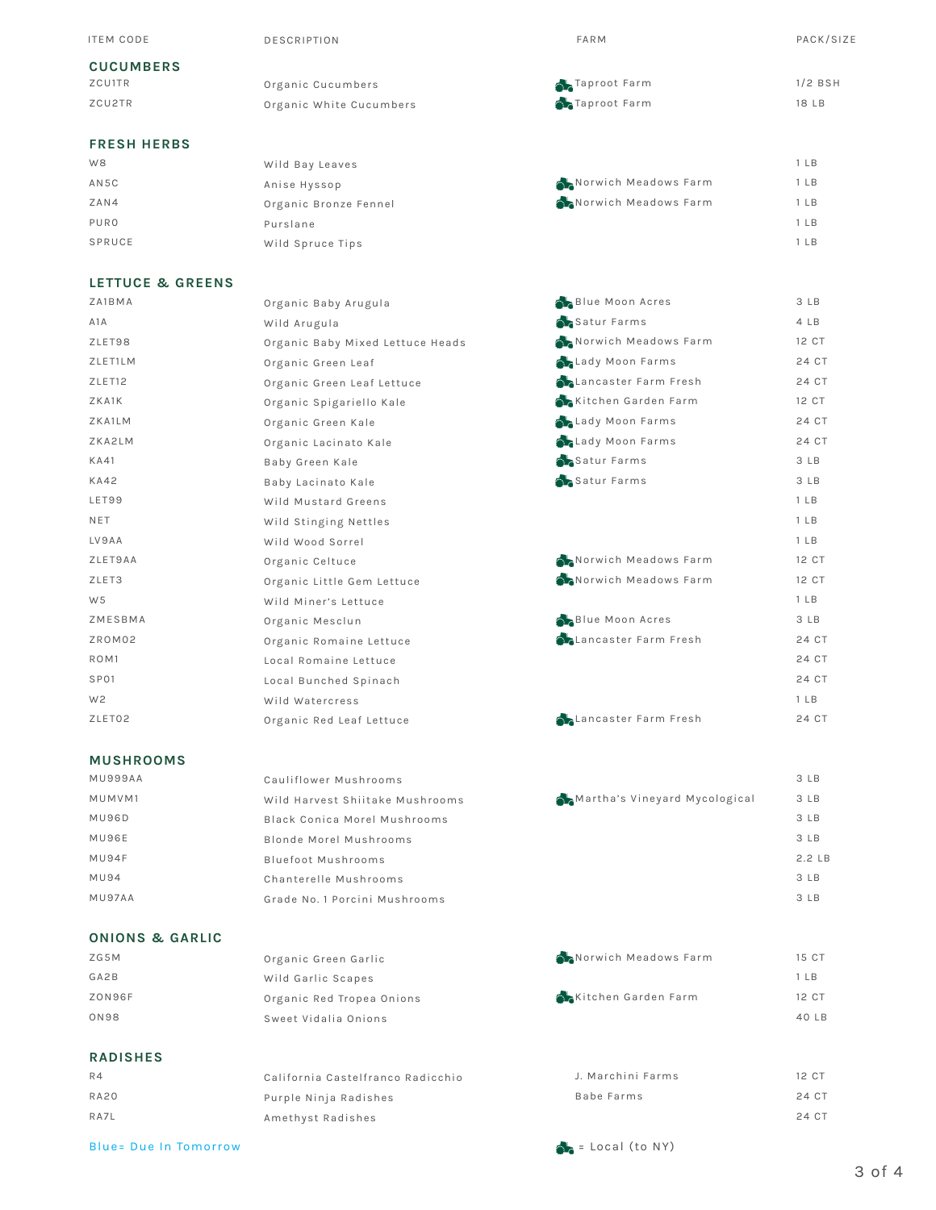| <b>ITEM CODE</b>   | <b>DESCRIPTION</b>      | <b>FARM</b>          | PACK/SIZE       |
|--------------------|-------------------------|----------------------|-----------------|
| <b>CUCUMBERS</b>   |                         |                      |                 |
| ZCU1TR             | Organic Cucumbers       | Taproot Farm         | $1/2$ BSH       |
| ZCU2TR             | Organic White Cucumbers | Taproot Farm         | 18 LB           |
|                    |                         |                      |                 |
| <b>FRESH HERBS</b> |                         |                      |                 |
| W8                 | Wild Bay Leaves         |                      | 1 <sub>LB</sub> |
| AN5C               | Anise Hyssop            | Norwich Meadows Farm | 1 <sub>LB</sub> |
| ZAN4               | Organic Bronze Fennel   | Norwich Meadows Farm | 1 <sub>LB</sub> |
| PURO               | Purslane                |                      | 1 <sub>LB</sub> |
| SPRUCE             | Wild Spruce Tips        |                      | 1 <sub>LB</sub> |
|                    |                         |                      |                 |
|                    |                         |                      |                 |

# **LETTUCE & GREENS**

| ZA1BMA             | Organic Baby Arugula             | Blue Moon Acres              |
|--------------------|----------------------------------|------------------------------|
| A1A                | Wild Arugula                     | Satur Farms                  |
| ZLET98             | Organic Baby Mixed Lettuce Heads | Norwich Meadows Farm         |
| ZLET1LM            | Organic Green Leaf               | Lady Moon Farms              |
| ZLET <sub>12</sub> | Organic Green Leaf Lettuce       | Lancaster Farm Fresh         |
| ZKA1K              | Organic Spigariello Kale         | Kitchen Garden Farm          |
| ZKA1LM             | Organic Green Kale               | Lady Moon Farms              |
| ZKA2LM             | Organic Lacinato Kale            | Lady Moon Farms              |
| <b>KA41</b>        | Baby Green Kale                  | Satur Farms                  |
| <b>KA42</b>        | Baby Lacinato Kale               | Satur Farms                  |
| LET99              | Wild Mustard Greens              |                              |
| <b>NET</b>         | Wild Stinging Nettles            |                              |
| LV9AA              | Wild Wood Sorrel                 |                              |
| ZLET9AA            | Organic Celtuce                  | Norwich Meadows Farm         |
| ZLET3              | Organic Little Gem Lettuce       | Norwich Meadows Farm         |
| W <sub>5</sub>     | Wild Miner's Lettuce             |                              |
| ZMESBMA            | Organic Mesclun                  | Blue Moon Acres              |
| ZROM02             | Organic Romaine Lettuce          | <b>ALancaster Farm Fresh</b> |
| ROM <sub>1</sub>   | Local Romaine Lettuce            |                              |
| SP01               | Local Bunched Spinach            |                              |
| W <sub>2</sub>     | Wild Watercress                  |                              |
| ZLET02             | Organic Red Leaf Lettuce         | Lancaster Farm Fresh         |
|                    |                                  |                              |

#### **MUSHROOMS**

| MU999AA     | Cauliflower Mushrooms           |                               |
|-------------|---------------------------------|-------------------------------|
| MUMVM1      | Wild Harvest Shiitake Mushrooms | Martha's Vineyard Mycological |
| MU96D       | Black Conica Morel Mushrooms    |                               |
| MU96E       | Blonde Morel Mushrooms          |                               |
| MU94F       | <b>Bluefoot Mushrooms</b>       |                               |
| <b>MU94</b> | Chanterelle Mushrooms           |                               |
| MU97AA      | Grade No. 1 Porcini Mushrooms   |                               |

# **ONIONS & GARLIC**

| 15 CT           |
|-----------------|
| 1 <sub>LB</sub> |
| 12 CT           |
| 40 LB           |
|                 |

### **RADISHES**

| R4          | California Castelfranco Radicchio | J. Marchini Farms | 12 CT |
|-------------|-----------------------------------|-------------------|-------|
| <b>RA20</b> | Purple Ninja Radishes             | Babe Farms        | 24 CT |
| RA7L        | Amethyst Radishes                 |                   | 24 CT |

Blue= Due In Tomorrow example of the state of the state of the state of the state of the state of the state of the state of the state of the state of the state of the state of the state of the state of the state of the sta

3 LB 4 LB 12 CT 24 CT 24 CT 12 CT 24 CT 24 CT 3 LB 3 LB 1 LB 1 LB 1 LB 12 CT 12 CT 1 LB 3 LB 24 CT 24 CT 24 CT 1 LB 24 CT

> 3 LB 3 LB 3 LB 3 LB 2.2 LB 3 LB 3 LB